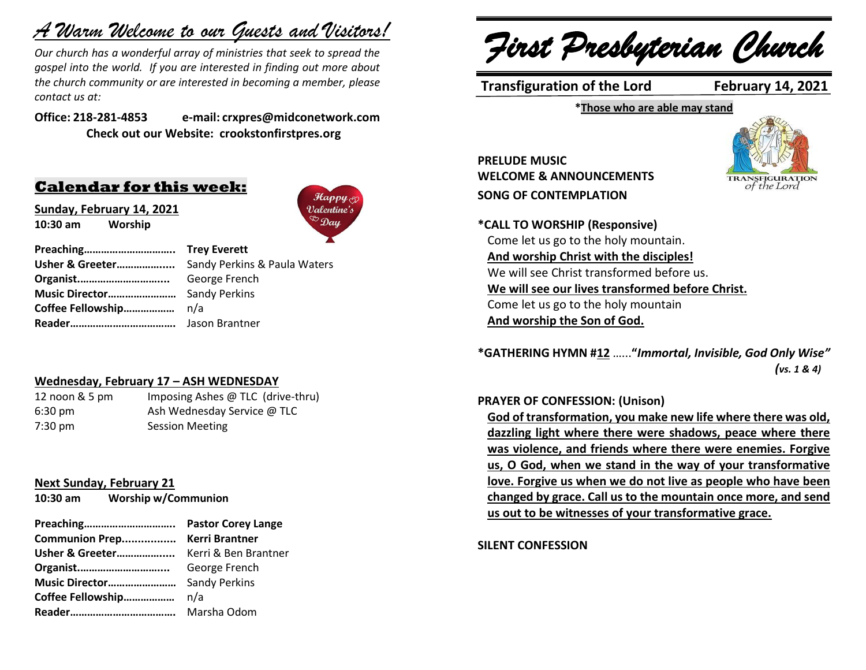# *A Warm Welcome to our Guests and Visitors!*

*Our church has a wonderful array of ministries that seek to spread the gospel into the world. If you are interested in finding out more about the church community or are interested in becoming a member, please contact us at:*

**Office: 218-281-4853 e-mail: crxpres@midconetwork.com Check out our Website: crookstonfirstpres.org**

# **Calendar for this week:**

**Sunday, February 14, 2021 10:30 am Worship** 



**Preaching………………………….. Trey Everett Usher & Greeter…………….....** Sandy Perkins & Paula Waters **Organist.………………………....** George French **Music Director……………………** Sandy Perkins **Coffee Fellowship………………** n/a **Reader……………………………….** Jason Brantner

## **Wednesday, February 17 – ASH WEDNESDAY**

7:30 pm Session Meeting

12 noon & 5 pm Imposing Ashes @ TLC (drive-thru) 6:30 pm Ash Wednesday Service @ TLC

## **Next Sunday, February 21**

**10:30 am Worship w/Communion**

| Communion Prep Kerri Brantner |               |
|-------------------------------|---------------|
|                               |               |
| Organist                      | George French |
|                               |               |
| Coffee Fellowship             | n/a           |
|                               |               |
|                               |               |

*First Presbyterian Church*

**Transfiguration of the Lord February 14, 2021** 

**\*Those who are able may stand**



**PRELUDE MUSIC WELCOME & ANNOUNCEMENTS SONG OF CONTEMPLATION**

**\*CALL TO WORSHIP (Responsive)**  Come let us go to the holy mountain. **And worship Christ with the disciples!** We will see Christ transformed before us. **We will see our lives transformed before Christ.** Come let us go to the holy mountain **And worship the Son of God.**

**\*GATHERING HYMN #12** …...**"***Immortal, Invisible, God Only Wise"* *(vs. 1 & 4)*

## **PRAYER OF CONFESSION: (Unison)**

**God of transformation, you make new life where there was old, dazzling light where there were shadows, peace where there was violence, and friends where there were enemies. Forgive us, O God, when we stand in the way of your transformative love. Forgive us when we do not live as people who have been changed by grace. Call us to the mountain once more, and send us out to be witnesses of your transformative grace.**

**SILENT CONFESSION**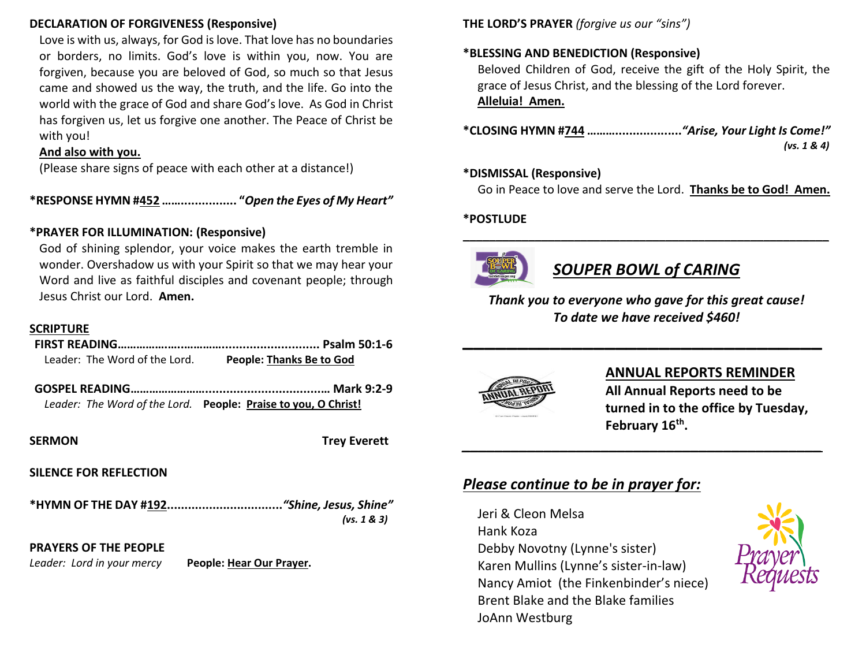## **DECLARATION OF FORGIVENESS (Responsive)**

Love is with us, always, for God is love. That love has no boundaries or borders, no limits. God's love is within you, now. You are forgiven, because you are beloved of God, so much so that Jesus came and showed us the way, the truth, and the life. Go into the world with the grace of God and share God's love. As God in Christ has forgiven us, let us forgive one another. The Peace of Christ be with you!

## **And also with you.**

(Please share signs of peace with each other at a distance!)

**\*RESPONSE HYMN #452 ……................ "***Open the Eyes of My Heart"* 

## **\*PRAYER FOR ILLUMINATION: (Responsive)**

God of shining splendor, your voice makes the earth tremble in wonder. Overshadow us with your Spirit so that we may hear your Word and live as faithful disciples and covenant people; through Jesus Christ our Lord. **Amen.**

## **SCRIPTURE**

| <b>People: Thanks Be to God</b>                                | Leader: The Word of the Lord. |
|----------------------------------------------------------------|-------------------------------|
|                                                                |                               |
| Leader: The Word of the Lord. People: Praise to you, O Christ! |                               |

**SERMON** Trey Everett

## **SILENCE FOR REFLECTION**

**\*HYMN OF THE DAY #192.................................***"Shine, Jesus, Shine" (vs. 1 & 3)*

## **PRAYERS OF THE PEOPLE**

*Leader: Lord in your mercy* **People: Hear Our Prayer.**

## **THE LORD'S PRAYER** *(forgive us our "sins")*

## **\*BLESSING AND BENEDICTION (Responsive)**

Beloved Children of God, receive the gift of the Holy Spirit, the grace of Jesus Christ, and the blessing of the Lord forever.

**Alleluia! Amen.**

**\*CLOSING HYMN #744 ………...................***"Arise, Your Light Is Come!"* *(vs. 1 & 4)*

## **\*DISMISSAL (Responsive)**

Go in Peace to love and serve the Lord. **Thanks be to God! Amen.**

## **\*POSTLUDE**



# *SOUPER BOWL of CARING*

**\_\_\_\_\_\_\_\_\_\_\_\_\_\_\_\_\_\_\_\_\_\_\_\_\_\_\_\_\_\_\_\_\_\_\_\_\_\_\_\_\_\_\_\_\_\_\_\_\_\_\_\_\_\_\_\_**

*Thank you to everyone who gave for this great cause! To date we have received \$460!*

**\_\_\_\_\_\_\_\_\_\_\_\_\_\_\_\_\_\_\_\_\_\_\_\_\_\_\_\_\_\_\_\_\_**

*\_\_\_\_\_\_\_\_\_\_\_\_\_\_\_\_\_\_\_\_\_\_\_\_\_\_\_\_\_\_\_\_\_\_\_\_\_\_\_\_\_\_\_\_*



## **ANNUAL REPORTS REMINDER**

**All Annual Reports need to be turned in to the office by Tuesday, February 16th .**

# *Please continue to be in prayer for:*

Jeri & Cleon Melsa Hank Koza Debby Novotny (Lynne's sister) Karen Mullins (Lynne's sister-in-law) Nancy Amiot (the Finkenbinder's niece) Brent Blake and the Blake families JoAnn Westburg

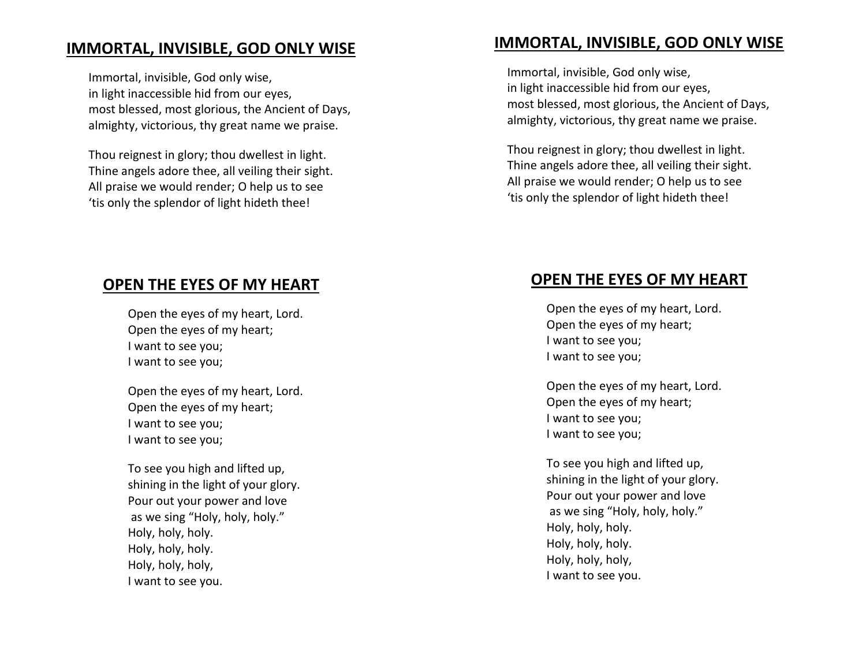# **IMMORTAL, INVISIBLE, GOD ONLY WISE**

Immortal, invisible, God only wise, in light inaccessible hid from our eyes, most blessed, most glorious, the Ancient of Days, almighty, victorious, thy great name we praise.

Thou reignest in glory; thou dwellest in light. Thine angels adore thee, all veiling their sight. All praise we would render; O help us to see 'tis only the splendor of light hideth thee!

# **IMMORTAL, INVISIBLE, GOD ONLY WISE**

Immortal, invisible, God only wise, in light inaccessible hid from our eyes, most blessed, most glorious, the Ancient of Days, almighty, victorious, thy great name we praise.

Thou reignest in glory; thou dwellest in light. Thine angels adore thee, all veiling their sight. All praise we would render; O help us to see 'tis only the splendor of light hideth thee!

# **OPEN THE EYES OF MY HEART**

Open the eyes of my heart, Lord. Open the eyes of my heart; I want to see you; I want to see you;

Open the eyes of my heart, Lord. Open the eyes of my heart; I want to see you; I want to see you;

To see you high and lifted up, shining in the light of your glory. Pour out your power and love as we sing "Holy, holy, holy." Holy, holy, holy. Holy, holy, holy. Holy, holy, holy, I want to see you.

# **OPEN THE EYES OF MY HEART**

Open the eyes of my heart, Lord. Open the eyes of my heart; I want to see you; I want to see you;

Open the eyes of my heart, Lord. Open the eyes of my heart; I want to see you; I want to see you;

To see you high and lifted up, shining in the light of your glory. Pour out your power and love as we sing "Holy, holy, holy." Holy, holy, holy. Holy, holy, holy. Holy, holy, holy, I want to see you.